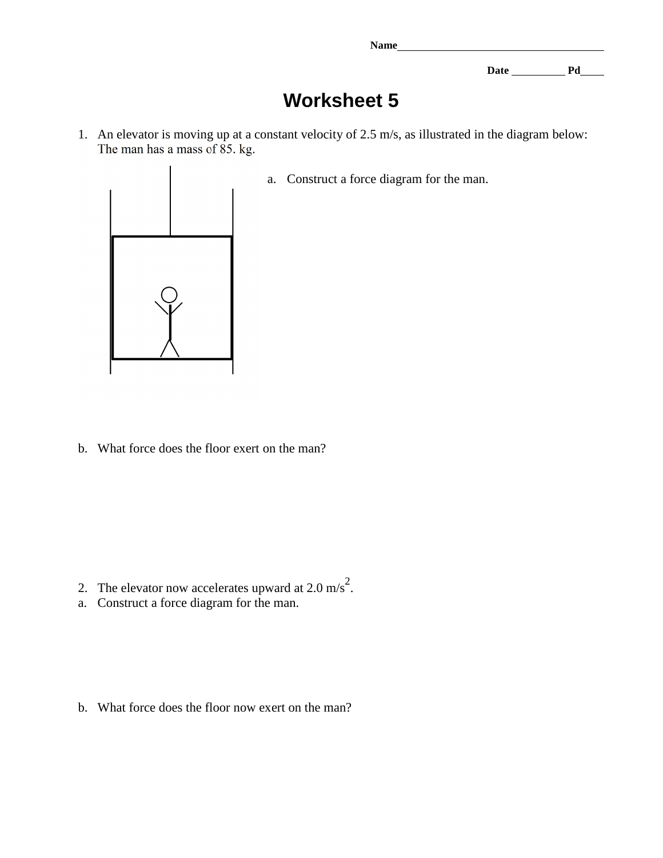**Name** 

Date <u>Pd</u> Pd

## **Worksheet 5**

1. An elevator is moving up at a constant velocity of 2.5 m/s, as illustrated in the diagram below:<br>The man has a mass of 85. kg.



a. Construct a force diagram for the man.

b. What force does the floor exert on the man?

- 2. The elevator now accelerates upward at  $2.0 \text{ m/s}^2$ .
- a. Construct a force diagram for the man.

b. What force does the floor now exert on the man?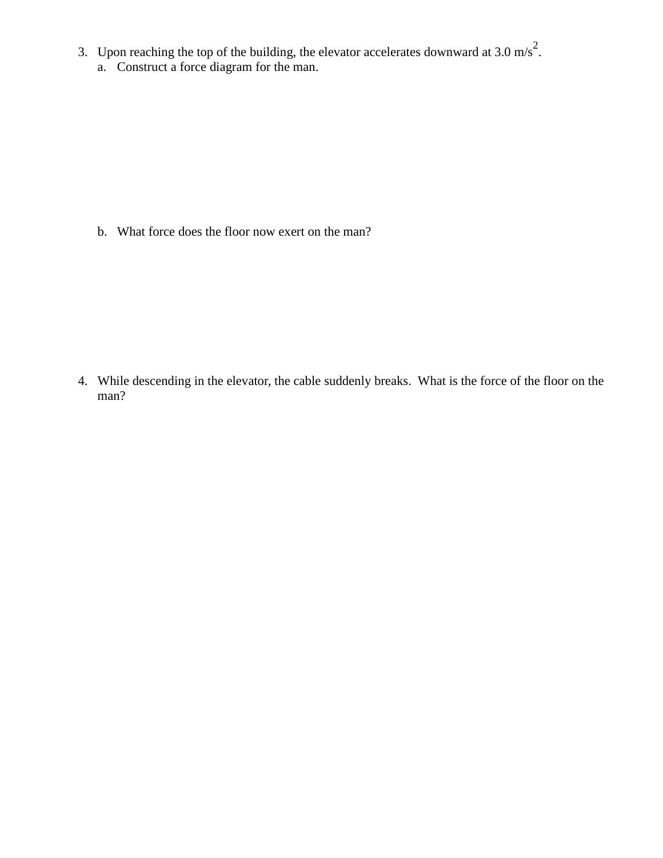- 3. Upon reaching the top of the building, the elevator accelerates downward at 3.0 m/s<sup>2</sup>.
	- a. Construct a force diagram for the man.

b. What force does the floor now exert on the man?

4. While descending in the elevator, the cable suddenly breaks. What is the force of the floor on the man?